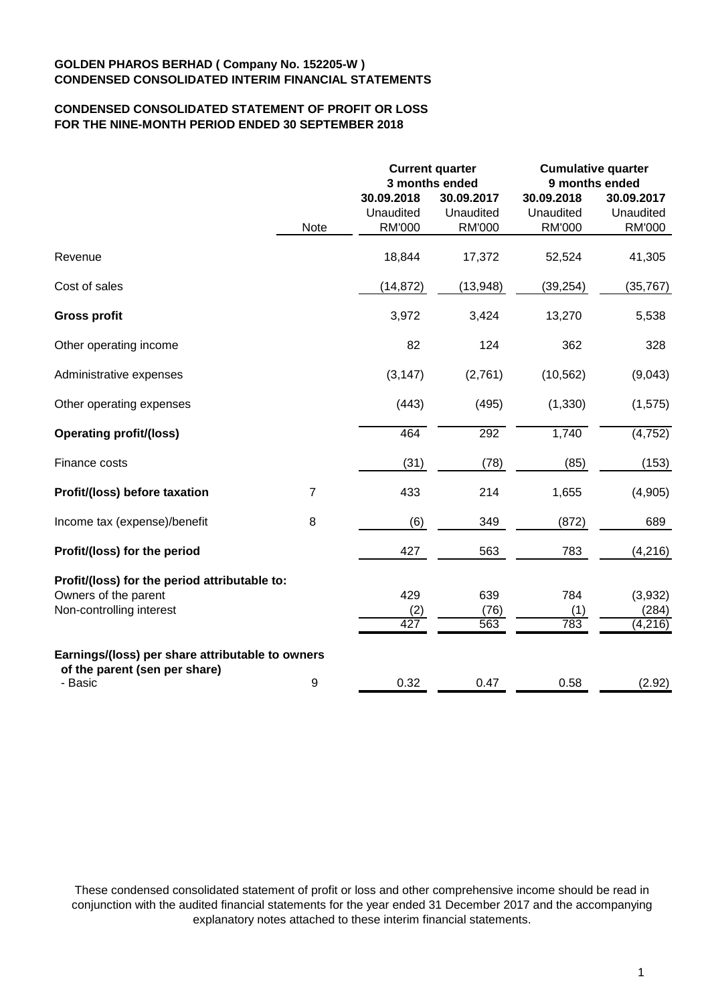# **CONDENSED CONSOLIDATED STATEMENT OF PROFIT OR LOSS FOR THE NINE-MONTH PERIOD ENDED 30 SEPTEMBER 2018**

|                                                                                                   |                |                                          | <b>Current quarter</b><br>3 months ended | <b>Cumulative quarter</b><br>9 months ended |                                   |  |
|---------------------------------------------------------------------------------------------------|----------------|------------------------------------------|------------------------------------------|---------------------------------------------|-----------------------------------|--|
|                                                                                                   | Note           | 30.09.2018<br>Unaudited<br><b>RM'000</b> | 30.09.2017<br>Unaudited<br><b>RM'000</b> | 30.09.2018<br>Unaudited<br><b>RM'000</b>    | 30.09.2017<br>Unaudited<br>RM'000 |  |
| Revenue                                                                                           |                | 18,844                                   | 17,372                                   | 52,524                                      | 41,305                            |  |
| Cost of sales                                                                                     |                | (14, 872)                                | (13, 948)                                | (39, 254)                                   | (35, 767)                         |  |
| <b>Gross profit</b>                                                                               |                | 3,972                                    | 3,424                                    | 13,270                                      | 5,538                             |  |
| Other operating income                                                                            |                | 82                                       | 124                                      | 362                                         | 328                               |  |
| Administrative expenses                                                                           |                | (3, 147)                                 | (2,761)                                  | (10, 562)                                   | (9,043)                           |  |
| Other operating expenses                                                                          |                | (443)                                    | (495)                                    | (1, 330)                                    | (1, 575)                          |  |
| <b>Operating profit/(loss)</b>                                                                    |                | 464                                      | 292                                      | 1,740                                       | (4, 752)                          |  |
| Finance costs                                                                                     |                | (31)                                     | (78)                                     | (85)                                        | (153)                             |  |
| Profit/(loss) before taxation                                                                     | $\overline{7}$ | 433                                      | 214                                      | 1,655                                       | (4,905)                           |  |
| Income tax (expense)/benefit                                                                      | 8              | (6)                                      | 349                                      | (872)                                       | 689                               |  |
| Profit/(loss) for the period                                                                      |                | 427                                      | 563                                      | 783                                         | (4, 216)                          |  |
| Profit/(loss) for the period attributable to:<br>Owners of the parent<br>Non-controlling interest |                | 429<br>(2)<br>427                        | 639<br>(76)<br>563                       | 784<br>(1)<br>783                           | (3,932)<br>(284)<br>(4,216)       |  |
| Earnings/(loss) per share attributable to owners<br>of the parent (sen per share)<br>- Basic      | 9              | 0.32                                     | 0.47                                     | 0.58                                        | (2.92)                            |  |

These condensed consolidated statement of profit or loss and other comprehensive income should be read in conjunction with the audited financial statements for the year ended 31 December 2017 and the accompanying explanatory notes attached to these interim financial statements.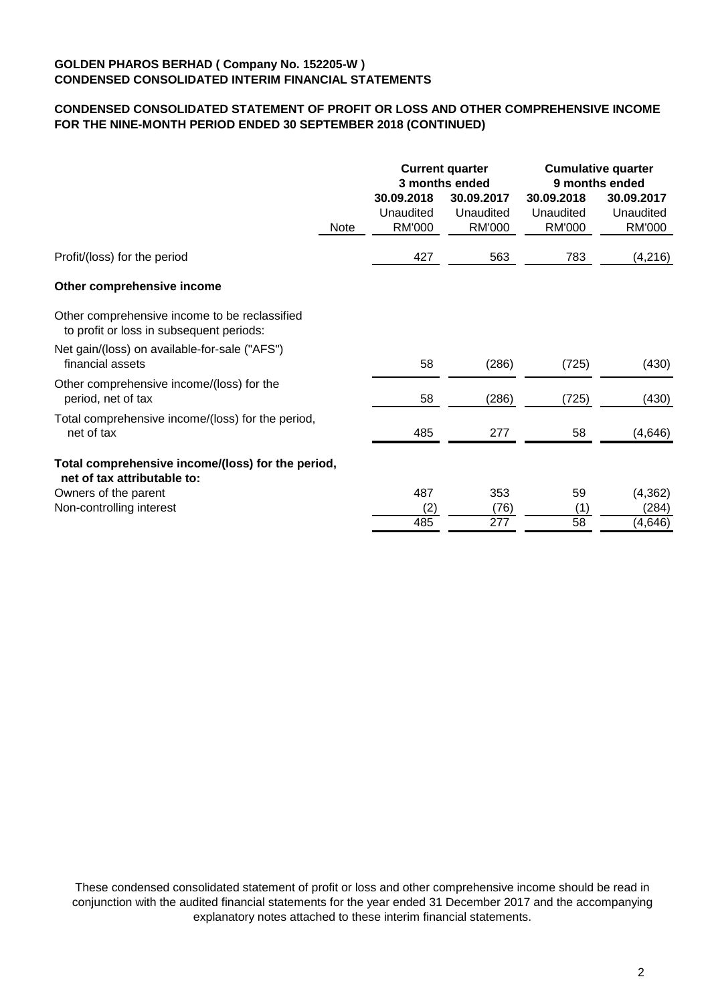# **CONDENSED CONSOLIDATED STATEMENT OF PROFIT OR LOSS AND OTHER COMPREHENSIVE INCOME FOR THE NINE-MONTH PERIOD ENDED 30 SEPTEMBER 2018 (CONTINUED)**

|                                                                                           |      |                                          | <b>Current quarter</b><br>3 months ended | <b>Cumulative quarter</b><br>9 months ended |                                          |  |
|-------------------------------------------------------------------------------------------|------|------------------------------------------|------------------------------------------|---------------------------------------------|------------------------------------------|--|
|                                                                                           | Note | 30.09.2018<br>Unaudited<br><b>RM'000</b> | 30.09.2017<br>Unaudited<br><b>RM'000</b> | 30.09.2018<br>Unaudited<br><b>RM'000</b>    | 30.09.2017<br>Unaudited<br><b>RM'000</b> |  |
|                                                                                           |      |                                          |                                          |                                             |                                          |  |
| Profit/(loss) for the period                                                              |      | 427                                      | 563                                      | 783                                         | (4, 216)                                 |  |
| Other comprehensive income                                                                |      |                                          |                                          |                                             |                                          |  |
| Other comprehensive income to be reclassified<br>to profit or loss in subsequent periods: |      |                                          |                                          |                                             |                                          |  |
| Net gain/(loss) on available-for-sale ("AFS")<br>financial assets                         |      | 58                                       | (286)                                    | (725)                                       | (430)                                    |  |
| Other comprehensive income/(loss) for the<br>period, net of tax                           |      | 58                                       | (286)                                    | (725)                                       | (430)                                    |  |
| Total comprehensive income/(loss) for the period,<br>net of tax                           |      | 485                                      | 277                                      | 58                                          | (4,646)                                  |  |
| Total comprehensive income/(loss) for the period,<br>net of tax attributable to:          |      |                                          |                                          |                                             |                                          |  |
| Owners of the parent                                                                      |      | 487                                      | 353                                      | 59                                          | (4, 362)                                 |  |
| Non-controlling interest                                                                  |      | (2)                                      | (76)                                     | (1)                                         | (284)                                    |  |
|                                                                                           |      | 485                                      | $\overline{277}$                         | 58                                          | (4, 646)                                 |  |

These condensed consolidated statement of profit or loss and other comprehensive income should be read in conjunction with the audited financial statements for the year ended 31 December 2017 and the accompanying explanatory notes attached to these interim financial statements.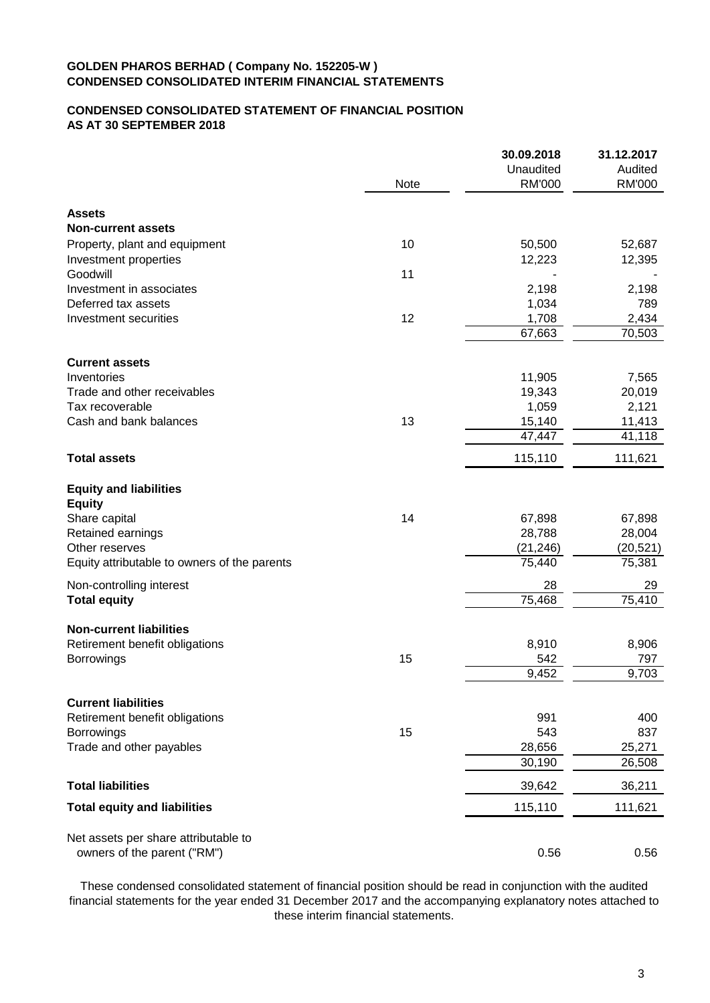# **CONDENSED CONSOLIDATED STATEMENT OF FINANCIAL POSITION AS AT 30 SEPTEMBER 2018**

|                                              |      | 30.09.2018    | 31.12.2017 |
|----------------------------------------------|------|---------------|------------|
|                                              |      | Unaudited     | Audited    |
|                                              | Note | <b>RM'000</b> | RM'000     |
| <b>Assets</b>                                |      |               |            |
| <b>Non-current assets</b>                    |      |               |            |
| Property, plant and equipment                | 10   | 50,500        | 52,687     |
| Investment properties                        |      | 12,223        | 12,395     |
| Goodwill                                     | 11   |               |            |
| Investment in associates                     |      | 2,198         | 2,198      |
| Deferred tax assets                          |      | 1,034         | 789        |
| Investment securities                        | 12   | 1,708         | 2,434      |
|                                              |      | 67,663        | 70,503     |
| <b>Current assets</b>                        |      |               |            |
|                                              |      |               |            |
| Inventories                                  |      | 11,905        | 7,565      |
| Trade and other receivables                  |      | 19,343        | 20,019     |
| Tax recoverable                              |      | 1,059         | 2,121      |
| Cash and bank balances                       | 13   | 15,140        | 11,413     |
|                                              |      | 47,447        | 41,118     |
| <b>Total assets</b>                          |      | 115,110       | 111,621    |
| <b>Equity and liabilities</b>                |      |               |            |
| <b>Equity</b>                                |      |               |            |
| Share capital                                | 14   | 67,898        | 67,898     |
| Retained earnings                            |      | 28,788        | 28,004     |
| Other reserves                               |      | (21, 246)     | (20, 521)  |
| Equity attributable to owners of the parents |      | 75,440        | 75,381     |
| Non-controlling interest                     |      | 28            | 29         |
| <b>Total equity</b>                          |      | 75,468        | 75,410     |
| <b>Non-current liabilities</b>               |      |               |            |
| Retirement benefit obligations               |      | 8,910         | 8,906      |
| <b>Borrowings</b>                            | 15   | 542           | 797        |
|                                              |      | 9,452         | 9,703      |
| <b>Current liabilities</b>                   |      |               |            |
| Retirement benefit obligations               |      | 991           | 400        |
| Borrowings                                   | 15   | 543           | 837        |
| Trade and other payables                     |      | 28,656        | 25,271     |
|                                              |      | 30,190        | 26,508     |
| <b>Total liabilities</b>                     |      | 39,642        | 36,211     |
| <b>Total equity and liabilities</b>          |      | 115,110       | 111,621    |
| Net assets per share attributable to         |      |               |            |
| owners of the parent ("RM")                  |      | 0.56          | 0.56       |
|                                              |      |               |            |

These condensed consolidated statement of financial position should be read in conjunction with the audited financial statements for the year ended 31 December 2017 and the accompanying explanatory notes attached to these interim financial statements.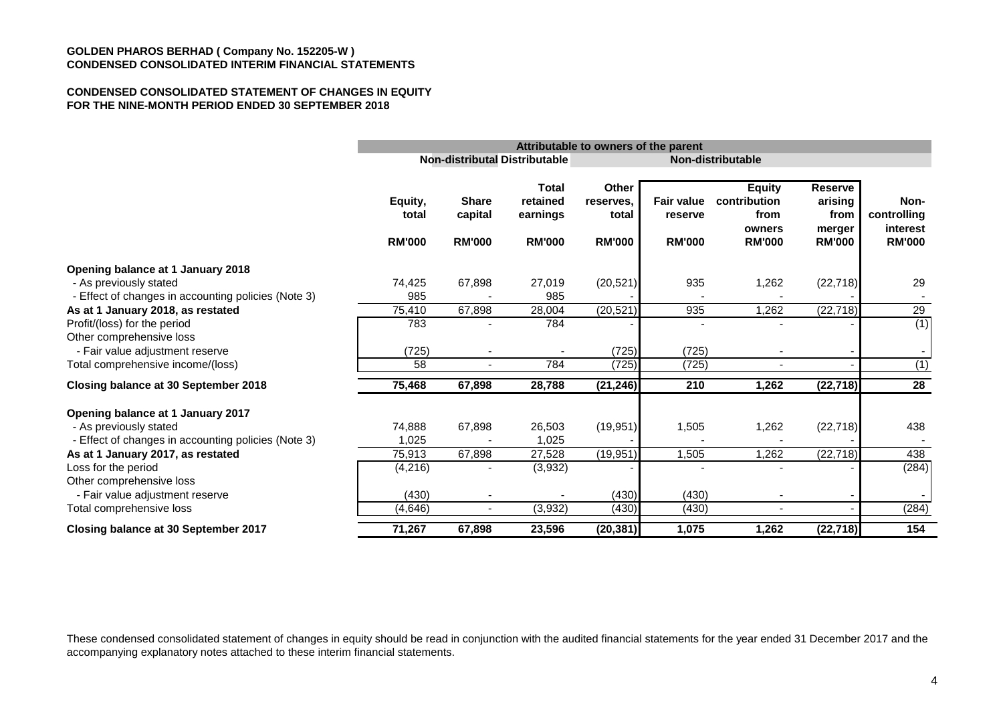#### **CONDENSED CONSOLIDATED STATEMENT OF CHANGES IN EQUITY FOR THE NINE-MONTH PERIOD ENDED 30 SEPTEMBER 2018**

|                                                                               |                                   | Attributable to owners of the parent<br><b>Non-distributal Distributable</b><br><b>Non-distributable</b> |                                                       |                                              |                                        |                                                                  |                                                              |                                                  |
|-------------------------------------------------------------------------------|-----------------------------------|----------------------------------------------------------------------------------------------------------|-------------------------------------------------------|----------------------------------------------|----------------------------------------|------------------------------------------------------------------|--------------------------------------------------------------|--------------------------------------------------|
|                                                                               |                                   |                                                                                                          |                                                       |                                              |                                        |                                                                  |                                                              |                                                  |
|                                                                               | Equity,<br>total<br><b>RM'000</b> | <b>Share</b><br>capital<br><b>RM'000</b>                                                                 | <b>Total</b><br>retained<br>earnings<br><b>RM'000</b> | Other<br>reserves.<br>total<br><b>RM'000</b> | Fair value<br>reserve<br><b>RM'000</b> | <b>Equity</b><br>contribution<br>from<br>owners<br><b>RM'000</b> | <b>Reserve</b><br>arising<br>from<br>merger<br><b>RM'000</b> | Non-<br>controlling<br>interest<br><b>RM'000</b> |
| Opening balance at 1 January 2018                                             |                                   |                                                                                                          |                                                       |                                              |                                        |                                                                  |                                                              |                                                  |
| - As previously stated<br>- Effect of changes in accounting policies (Note 3) | 74,425<br>985                     | 67,898                                                                                                   | 27,019<br>985                                         | (20, 521)                                    | 935                                    | 1,262                                                            | (22, 718)                                                    | 29                                               |
| As at 1 January 2018, as restated                                             | 75,410                            | 67,898                                                                                                   | 28,004                                                | (20, 521)                                    | 935                                    | 1,262                                                            | (22, 718)                                                    | 29                                               |
| Profit/(loss) for the period<br>Other comprehensive loss                      | 783                               |                                                                                                          | 784                                                   |                                              |                                        |                                                                  |                                                              | (1)                                              |
| - Fair value adjustment reserve                                               | (725)                             |                                                                                                          |                                                       | (725)                                        | (725)                                  |                                                                  |                                                              |                                                  |
| Total comprehensive income/(loss)                                             | 58                                |                                                                                                          | 784                                                   | (725)                                        | (725)                                  |                                                                  |                                                              | (1)                                              |
| Closing balance at 30 September 2018                                          | 75,468                            | 67,898                                                                                                   | 28,788                                                | (21, 246)                                    | 210                                    | 1,262                                                            | (22, 718)                                                    | 28                                               |
| Opening balance at 1 January 2017                                             |                                   |                                                                                                          |                                                       |                                              |                                        |                                                                  |                                                              |                                                  |
| - As previously stated                                                        | 74,888                            | 67,898                                                                                                   | 26,503                                                | (19, 951)                                    | 1,505                                  | 1,262                                                            | (22, 718)                                                    | 438                                              |
| - Effect of changes in accounting policies (Note 3)                           | 1,025                             |                                                                                                          | 1,025                                                 |                                              |                                        |                                                                  |                                                              |                                                  |
| As at 1 January 2017, as restated                                             | 75,913                            | 67,898                                                                                                   | 27,528                                                | (19, 951)                                    | 1,505                                  | 1,262                                                            | $(2\overline{2,718})$                                        | 438                                              |
| Loss for the period<br>Other comprehensive loss                               | (4, 216)                          |                                                                                                          | (3,932)                                               |                                              |                                        |                                                                  |                                                              | (284)                                            |
| - Fair value adjustment reserve                                               | (430)                             |                                                                                                          |                                                       | (430)                                        | (430)                                  |                                                                  |                                                              |                                                  |
| Total comprehensive loss                                                      | (4, 646)                          |                                                                                                          | (3,932)                                               | (430)                                        | (430)                                  |                                                                  |                                                              | (284)                                            |
| Closing balance at 30 September 2017                                          | 71,267                            | 67,898                                                                                                   | 23,596                                                | (20, 381)                                    | 1,075                                  | 1,262                                                            | (22, 718)                                                    | 154                                              |

These condensed consolidated statement of changes in equity should be read in conjunction with the audited financial statements for the year ended 31 December 2017 and the accompanying explanatory notes attached to these interim financial statements.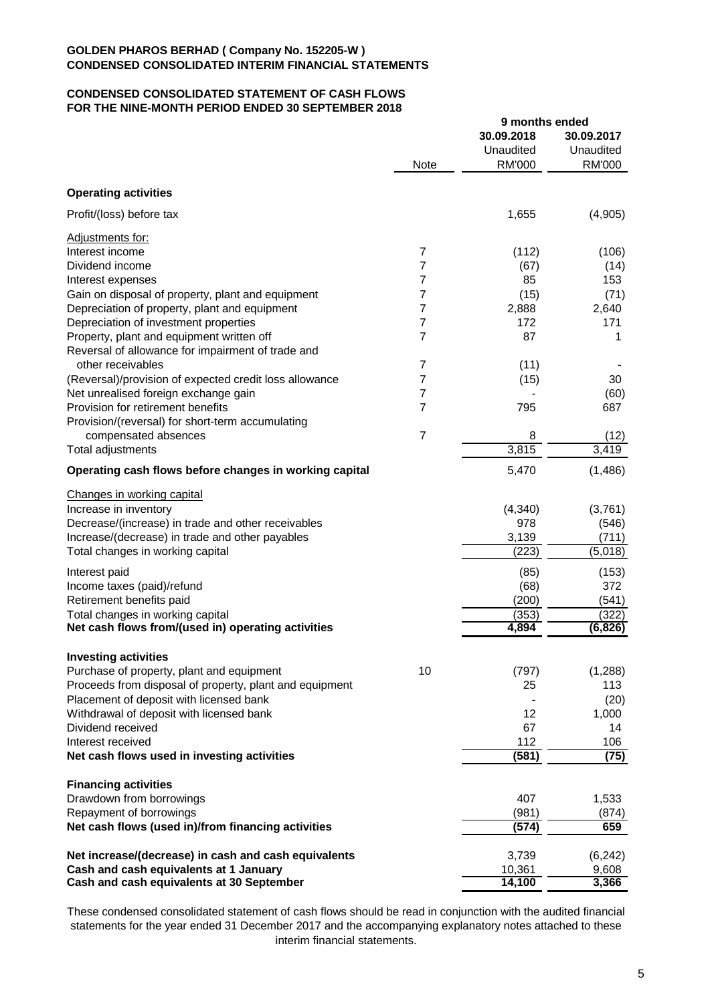#### **CONDENSED CONSOLIDATED STATEMENT OF CASH FLOWS FOR THE NINE-MONTH PERIOD ENDED 30 SEPTEMBER 2018**

|                                                         |                | 9 months ended          |                         |  |
|---------------------------------------------------------|----------------|-------------------------|-------------------------|--|
|                                                         |                | 30.09.2018<br>Unaudited | 30.09.2017<br>Unaudited |  |
|                                                         | <b>Note</b>    | RM'000                  | <b>RM'000</b>           |  |
| <b>Operating activities</b>                             |                |                         |                         |  |
| Profit/(loss) before tax                                |                | 1,655                   | (4,905)                 |  |
| Adjustments for:                                        |                |                         |                         |  |
| Interest income                                         | 7              | (112)                   | (106)                   |  |
| Dividend income                                         | $\overline{7}$ | (67)                    | (14)                    |  |
| Interest expenses                                       | 7              | 85                      | 153                     |  |
| Gain on disposal of property, plant and equipment       | 7              | (15)                    | (71)                    |  |
| Depreciation of property, plant and equipment           | 7              | 2,888                   | 2,640                   |  |
| Depreciation of investment properties                   | 7              | 172                     | 171                     |  |
| Property, plant and equipment written off               | 7              | 87                      | 1                       |  |
| Reversal of allowance for impairment of trade and       |                |                         |                         |  |
| other receivables                                       | 7              | (11)                    |                         |  |
| (Reversal)/provision of expected credit loss allowance  | 7              | (15)                    | 30                      |  |
| Net unrealised foreign exchange gain                    | 7              |                         | (60)                    |  |
| Provision for retirement benefits                       | 7              | 795                     | 687                     |  |
| Provision/(reversal) for short-term accumulating        |                |                         |                         |  |
| compensated absences                                    | $\overline{7}$ | 8                       | (12)                    |  |
| Total adjustments                                       |                | 3,815                   | 3,419                   |  |
| Operating cash flows before changes in working capital  |                | 5,470                   | (1,486)                 |  |
| Changes in working capital                              |                |                         |                         |  |
| Increase in inventory                                   |                | (4, 340)                | (3,761)                 |  |
| Decrease/(increase) in trade and other receivables      |                | 978                     | (546)                   |  |
| Increase/(decrease) in trade and other payables         |                | 3,139                   | (711)                   |  |
| Total changes in working capital                        |                | (223)                   | (5,018)                 |  |
|                                                         |                |                         |                         |  |
| Interest paid                                           |                | (85)                    | (153)                   |  |
| Income taxes (paid)/refund                              |                | (68)                    | 372                     |  |
| Retirement benefits paid                                |                | (200)                   | (541)                   |  |
| Total changes in working capital                        |                | (353)                   | (322)                   |  |
| Net cash flows from/(used in) operating activities      |                | 4,894                   | (6,826)                 |  |
| <b>Investing activities</b>                             |                |                         |                         |  |
| Purchase of property, plant and equipment               | 10             | (797)                   | (1,288)                 |  |
| Proceeds from disposal of property, plant and equipment |                | 25                      | 113                     |  |
| Placement of deposit with licensed bank                 |                |                         | (20)                    |  |
| Withdrawal of deposit with licensed bank                |                | 12                      | 1,000                   |  |
| Dividend received                                       |                | 67                      | 14                      |  |
| Interest received                                       |                | 112                     | 106                     |  |
| Net cash flows used in investing activities             |                | (581)                   | (75)                    |  |
| <b>Financing activities</b>                             |                |                         |                         |  |
| Drawdown from borrowings                                |                | 407                     | 1,533                   |  |
| Repayment of borrowings                                 |                | (981)                   | (874)                   |  |
| Net cash flows (used in)/from financing activities      |                | (574)                   | 659                     |  |
|                                                         |                |                         |                         |  |
| Net increase/(decrease) in cash and cash equivalents    |                | 3,739                   | (6, 242)                |  |
| Cash and cash equivalents at 1 January                  |                | 10,361                  | 9,608                   |  |
| Cash and cash equivalents at 30 September               |                | 14,100                  | 3,366                   |  |

These condensed consolidated statement of cash flows should be read in conjunction with the audited financial statements for the year ended 31 December 2017 and the accompanying explanatory notes attached to these interim financial statements.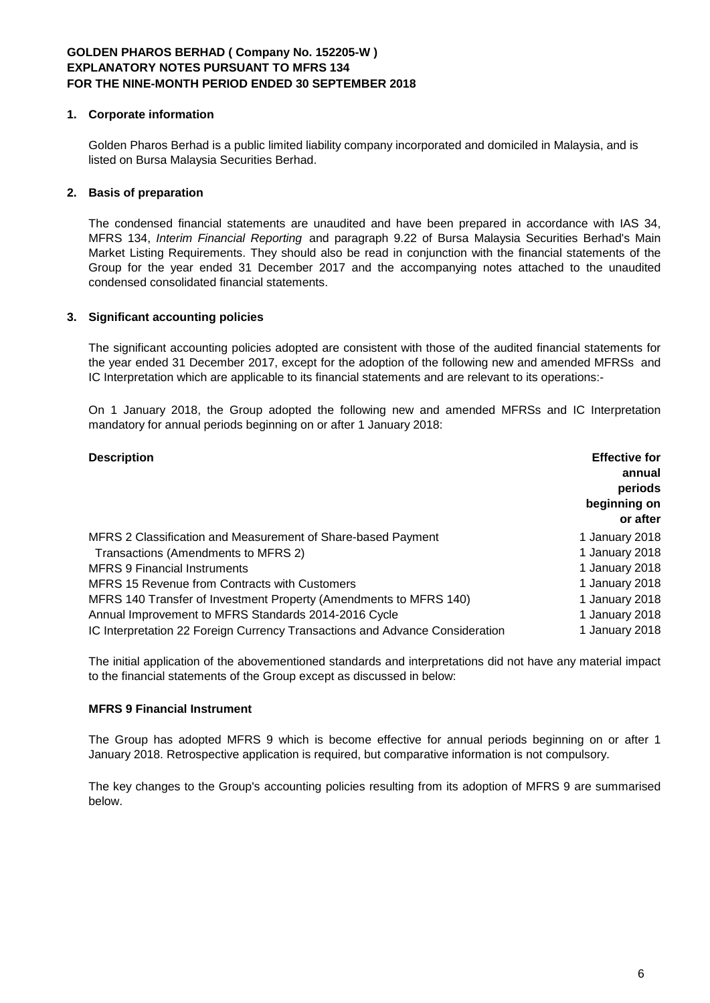### **1. Corporate information**

Golden Pharos Berhad is a public limited liability company incorporated and domiciled in Malaysia, and is listed on Bursa Malaysia Securities Berhad.

# **2. Basis of preparation**

The condensed financial statements are unaudited and have been prepared in accordance with IAS 34, MFRS 134, *Interim Financial Reporting* and paragraph 9.22 of Bursa Malaysia Securities Berhad's Main Market Listing Requirements. They should also be read in conjunction with the financial statements of the Group for the year ended 31 December 2017 and the accompanying notes attached to the unaudited condensed consolidated financial statements.

# **3. Significant accounting policies**

The significant accounting policies adopted are consistent with those of the audited financial statements for the year ended 31 December 2017, except for the adoption of the following new and amended MFRSs and IC Interpretation which are applicable to its financial statements and are relevant to its operations:-

On 1 January 2018, the Group adopted the following new and amended MFRSs and IC Interpretation mandatory for annual periods beginning on or after 1 January 2018:

| <b>Description</b>                                                           | <b>Effective for</b><br>annual<br>periods<br>beginning on<br>or after |
|------------------------------------------------------------------------------|-----------------------------------------------------------------------|
| MFRS 2 Classification and Measurement of Share-based Payment                 | 1 January 2018                                                        |
| Transactions (Amendments to MFRS 2)                                          | 1 January 2018                                                        |
| <b>MFRS 9 Financial Instruments</b>                                          | 1 January 2018                                                        |
| MFRS 15 Revenue from Contracts with Customers                                | 1 January 2018                                                        |
| MFRS 140 Transfer of Investment Property (Amendments to MFRS 140)            | 1 January 2018                                                        |
| Annual Improvement to MFRS Standards 2014-2016 Cycle                         | 1 January 2018                                                        |
| IC Interpretation 22 Foreign Currency Transactions and Advance Consideration | 1 January 2018                                                        |

The initial application of the abovementioned standards and interpretations did not have any material impact to the financial statements of the Group except as discussed in below:

### **MFRS 9 Financial Instrument**

The Group has adopted MFRS 9 which is become effective for annual periods beginning on or after 1 January 2018. Retrospective application is required, but comparative information is not compulsory.

The key changes to the Group's accounting policies resulting from its adoption of MFRS 9 are summarised below.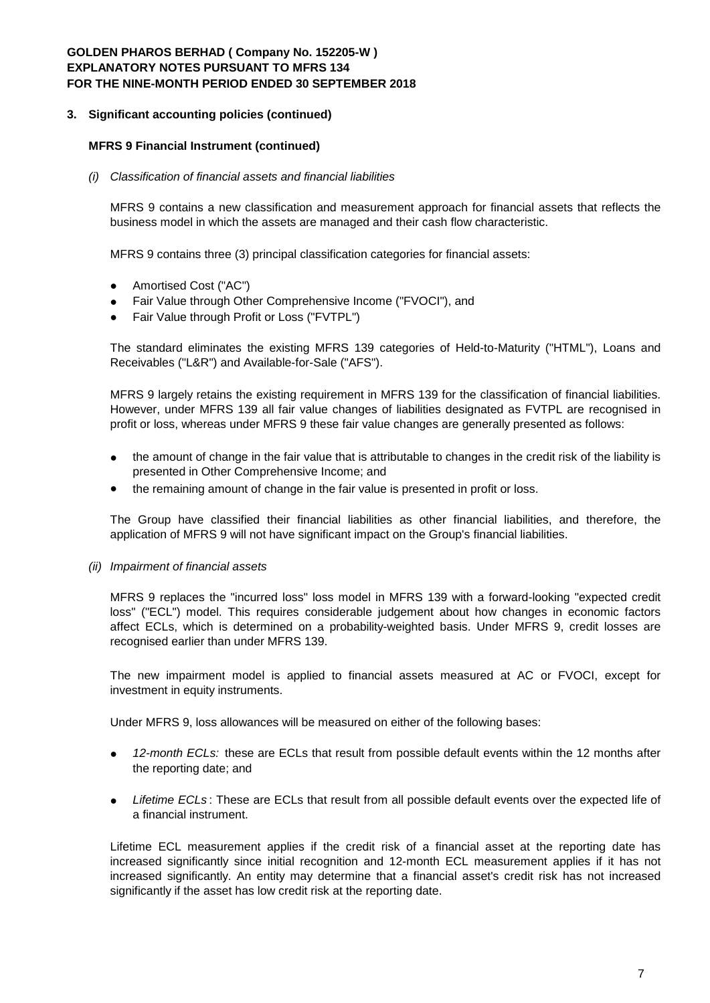#### **3. Significant accounting policies (continued)**

### **MFRS 9 Financial Instrument (continued)**

#### *(i) Classification of financial assets and financial liabilities*

MFRS 9 contains a new classification and measurement approach for financial assets that reflects the business model in which the assets are managed and their cash flow characteristic.

MFRS 9 contains three (3) principal classification categories for financial assets:

- Amortised Cost ("AC")
- Fair Value through Other Comprehensive Income ("FVOCI"), and
- Fair Value through Profit or Loss ("FVTPL")

The standard eliminates the existing MFRS 139 categories of Held-to-Maturity ("HTML"), Loans and Receivables ("L&R") and Available-for-Sale ("AFS").

MFRS 9 largely retains the existing requirement in MFRS 139 for the classification of financial liabilities. However, under MFRS 139 all fair value changes of liabilities designated as FVTPL are recognised in profit or loss, whereas under MFRS 9 these fair value changes are generally presented as follows:

- the amount of change in the fair value that is attributable to changes in the credit risk of the liability is presented in Other Comprehensive Income; and
- the remaining amount of change in the fair value is presented in profit or loss.

The Group have classified their financial liabilities as other financial liabilities, and therefore, the application of MFRS 9 will not have significant impact on the Group's financial liabilities.

*(ii) Impairment of financial assets*

MFRS 9 replaces the "incurred loss" loss model in MFRS 139 with a forward-looking "expected credit loss" ("ECL") model. This requires considerable judgement about how changes in economic factors affect ECLs, which is determined on a probability-weighted basis. Under MFRS 9, credit losses are recognised earlier than under MFRS 139.

The new impairment model is applied to financial assets measured at AC or FVOCI, except for investment in equity instruments.

Under MFRS 9, loss allowances will be measured on either of the following bases:

- *12-month ECLs:* these are ECLs that result from possible default events within the 12 months after the reporting date; and
- *Lifetime ECLs* : These are ECLs that result from all possible default events over the expected life of a financial instrument.

Lifetime ECL measurement applies if the credit risk of a financial asset at the reporting date has increased significantly since initial recognition and 12-month ECL measurement applies if it has not increased significantly. An entity may determine that a financial asset's credit risk has not increased significantly if the asset has low credit risk at the reporting date.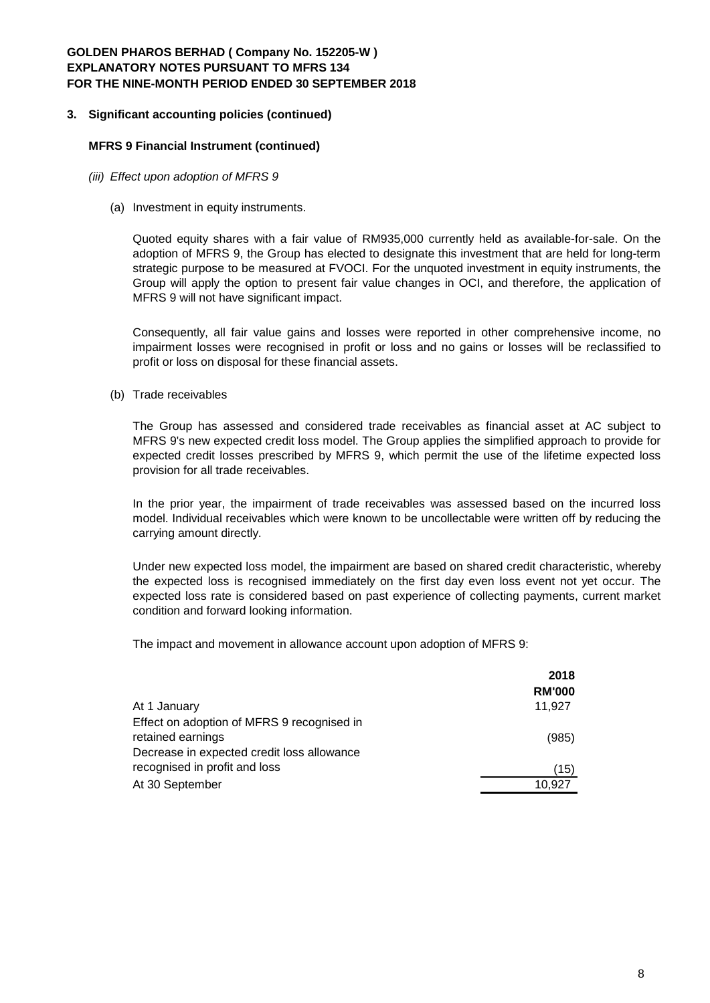# **3. Significant accounting policies (continued)**

#### **MFRS 9 Financial Instrument (continued)**

- *(iii) Effect upon adoption of MFRS 9*
	- (a) Investment in equity instruments.

Quoted equity shares with a fair value of RM935,000 currently held as available-for-sale. On the adoption of MFRS 9, the Group has elected to designate this investment that are held for long-term strategic purpose to be measured at FVOCI. For the unquoted investment in equity instruments, the Group will apply the option to present fair value changes in OCI, and therefore, the application of MFRS 9 will not have significant impact.

Consequently, all fair value gains and losses were reported in other comprehensive income, no impairment losses were recognised in profit or loss and no gains or losses will be reclassified to profit or loss on disposal for these financial assets.

(b) Trade receivables

The Group has assessed and considered trade receivables as financial asset at AC subject to MFRS 9's new expected credit loss model. The Group applies the simplified approach to provide for expected credit losses prescribed by MFRS 9, which permit the use of the lifetime expected loss provision for all trade receivables.

In the prior year, the impairment of trade receivables was assessed based on the incurred loss model. Individual receivables which were known to be uncollectable were written off by reducing the carrying amount directly.

Under new expected loss model, the impairment are based on shared credit characteristic, whereby the expected loss is recognised immediately on the first day even loss event not yet occur. The expected loss rate is considered based on past experience of collecting payments, current market condition and forward looking information.

The impact and movement in allowance account upon adoption of MFRS 9:

|                                            | 2018          |
|--------------------------------------------|---------------|
|                                            | <b>RM'000</b> |
| At 1 January                               | 11,927        |
| Effect on adoption of MFRS 9 recognised in |               |
| retained earnings                          | (985)         |
| Decrease in expected credit loss allowance |               |
| recognised in profit and loss              | (15)          |
| At 30 September                            | 10.927        |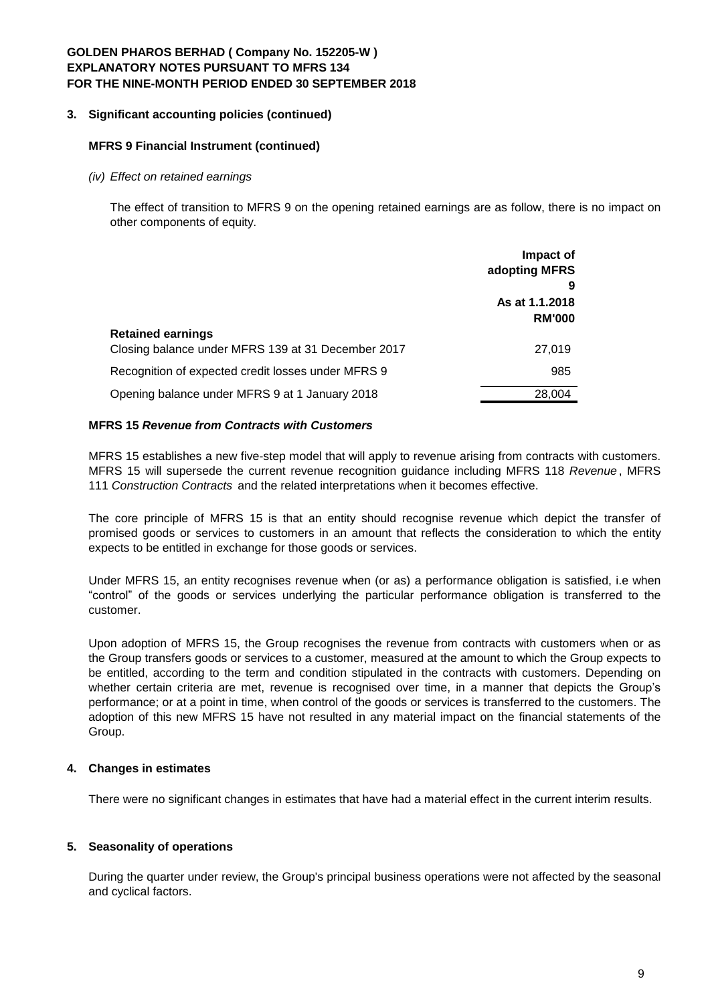# **3. Significant accounting policies (continued)**

#### **MFRS 9 Financial Instrument (continued)**

*(iv) Effect on retained earnings*

The effect of transition to MFRS 9 on the opening retained earnings are as follow, there is no impact on other components of equity.

|                                                                                | Impact of<br>adopting MFRS           |
|--------------------------------------------------------------------------------|--------------------------------------|
|                                                                                | 9<br>As at 1.1.2018<br><b>RM'000</b> |
| <b>Retained earnings</b><br>Closing balance under MFRS 139 at 31 December 2017 | 27,019                               |
| Recognition of expected credit losses under MFRS 9                             | 985                                  |
| Opening balance under MFRS 9 at 1 January 2018                                 | 28,004                               |

#### **MFRS 15** *Revenue from Contracts with Customers*

MFRS 15 establishes a new five-step model that will apply to revenue arising from contracts with customers. MFRS 15 will supersede the current revenue recognition guidance including MFRS 118 *Revenue* , MFRS 111 *Construction Contracts* and the related interpretations when it becomes effective.

The core principle of MFRS 15 is that an entity should recognise revenue which depict the transfer of promised goods or services to customers in an amount that reflects the consideration to which the entity expects to be entitled in exchange for those goods or services.

Under MFRS 15, an entity recognises revenue when (or as) a performance obligation is satisfied, i.e when "control" of the goods or services underlying the particular performance obligation is transferred to the customer.

Upon adoption of MFRS 15, the Group recognises the revenue from contracts with customers when or as the Group transfers goods or services to a customer, measured at the amount to which the Group expects to be entitled, according to the term and condition stipulated in the contracts with customers. Depending on whether certain criteria are met, revenue is recognised over time, in a manner that depicts the Group's performance; or at a point in time, when control of the goods or services is transferred to the customers. The adoption of this new MFRS 15 have not resulted in any material impact on the financial statements of the Group.

### **4. Changes in estimates**

There were no significant changes in estimates that have had a material effect in the current interim results.

### **5. Seasonality of operations**

During the quarter under review, the Group's principal business operations were not affected by the seasonal and cyclical factors.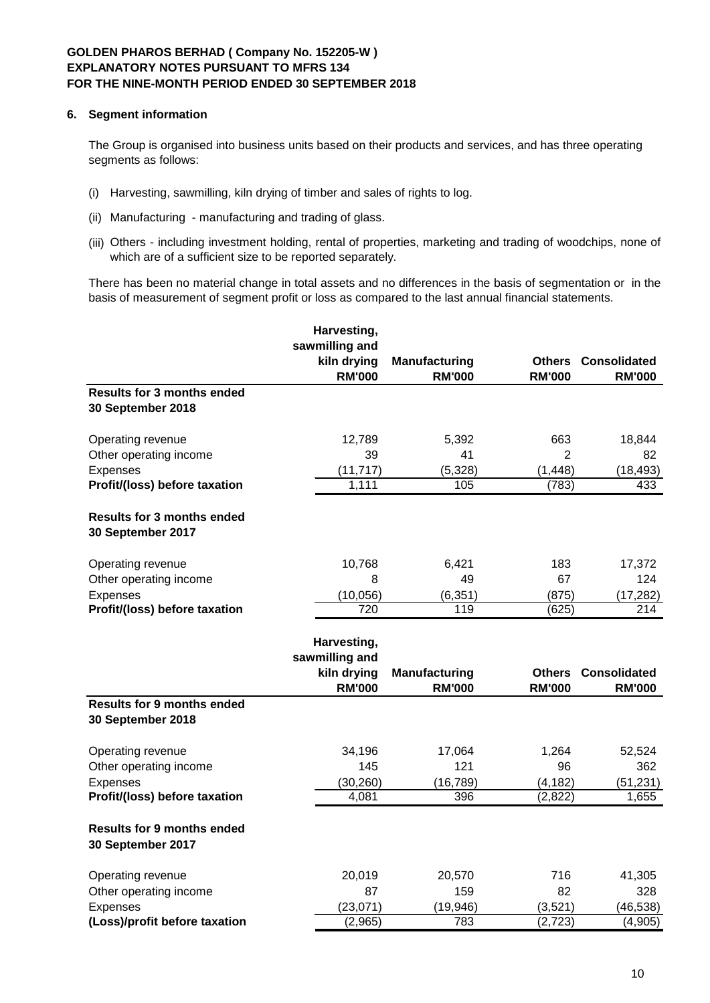### **6. Segment information**

The Group is organised into business units based on their products and services, and has three operating segments as follows:

- (i) Harvesting, sawmilling, kiln drying of timber and sales of rights to log.
- (ii) Manufacturing manufacturing and trading of glass.
- (iii) Others including investment holding, rental of properties, marketing and trading of woodchips, none of which are of a sufficient size to be reported separately.

There has been no material change in total assets and no differences in the basis of segmentation or in the basis of measurement of segment profit or loss as compared to the last annual financial statements.

|                                                        | Harvesting,                      |                      |               |                            |
|--------------------------------------------------------|----------------------------------|----------------------|---------------|----------------------------|
|                                                        | sawmilling and<br>kiln drying    | <b>Manufacturing</b> |               | <b>Others Consolidated</b> |
|                                                        | <b>RM'000</b>                    | <b>RM'000</b>        | <b>RM'000</b> | <b>RM'000</b>              |
| <b>Results for 3 months ended</b>                      |                                  |                      |               |                            |
| 30 September 2018                                      |                                  |                      |               |                            |
| Operating revenue                                      | 12,789                           | 5,392                | 663           | 18,844                     |
| Other operating income                                 | 39                               | 41                   | 2             | 82                         |
| Expenses                                               | (11, 717)                        | (5,328)              | (1, 448)      | (18, 493)                  |
| Profit/(loss) before taxation                          | 1,111                            | 105                  | (783)         | 433                        |
| <b>Results for 3 months ended</b><br>30 September 2017 |                                  |                      |               |                            |
| Operating revenue                                      | 10,768                           | 6,421                | 183           | 17,372                     |
| Other operating income                                 | 8                                | 49                   | 67            | 124                        |
| Expenses                                               | (10, 056)                        | (6, 351)             | (875)         | (17, 282)                  |
| Profit/(loss) before taxation                          | $\overline{720}$                 | 119                  | (625)         | 214                        |
|                                                        | Harvesting,                      |                      |               |                            |
|                                                        | sawmilling and                   |                      |               |                            |
|                                                        | kiln drying                      | <b>Manufacturing</b> | <b>Others</b> | <b>Consolidated</b>        |
|                                                        | <b>RM'000</b>                    | <b>RM'000</b>        | <b>RM'000</b> | <b>RM'000</b>              |
| <b>Results for 9 months ended</b><br>30 September 2018 |                                  |                      |               |                            |
| Operating revenue                                      | 34,196                           | 17,064               | 1,264         | 52,524                     |
| Other operating income                                 | 145                              | 121                  | 96            | 362                        |
| Expenses                                               | (30, 260)                        | (16, 789)            | (4, 182)      | (51, 231)                  |
| Profit/(loss) before taxation                          | 4,081                            | 396                  | (2, 822)      | 1,655                      |
| <b>Results for 9 months ended</b><br>30 September 2017 |                                  |                      |               |                            |
| Operating revenue                                      | 20,019                           | 20,570               | 716           | 41,305                     |
| Other operating income                                 | 87                               | 159                  | 82            | 328                        |
| Expenses                                               | (23,071)<br>$\overline{(2,965)}$ | (19, 946)            | (3,521)       | (46, 538)                  |
| (Loss)/profit before taxation                          |                                  | 783                  | (2, 723)      | (4, 905)                   |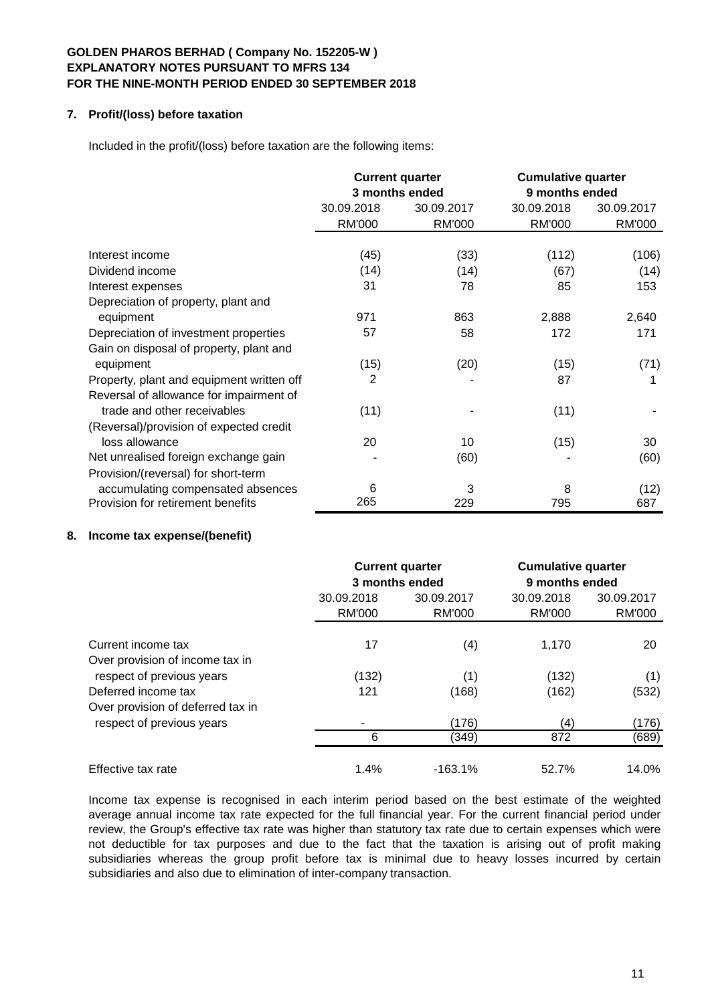### **7. Profit/(loss) before taxation**

Included in the profit/(loss) before taxation are the following items:

|                                           | <b>Current quarter</b><br>3 months ended |               | <b>Cumulative quarter</b><br>9 months ended |            |
|-------------------------------------------|------------------------------------------|---------------|---------------------------------------------|------------|
|                                           | 30.09.2018                               | 30.09.2017    | 30.09.2018                                  | 30.09.2017 |
|                                           | <b>RM'000</b>                            | <b>RM'000</b> | <b>RM'000</b>                               | RM'000     |
| Interest income                           | (45)                                     | (33)          | (112)                                       | (106)      |
| Dividend income                           | (14)                                     | (14)          | (67)                                        | (14)       |
| Interest expenses                         | 31                                       | 78            | 85                                          | 153        |
| Depreciation of property, plant and       |                                          |               |                                             |            |
| equipment                                 | 971                                      | 863           | 2,888                                       | 2,640      |
| Depreciation of investment properties     | 57                                       | 58            | 172                                         | 171        |
| Gain on disposal of property, plant and   |                                          |               |                                             |            |
| equipment                                 | (15)                                     | (20)          | (15)                                        | (71)       |
| Property, plant and equipment written off | 2                                        |               | 87                                          | 1          |
| Reversal of allowance for impairment of   |                                          |               |                                             |            |
| trade and other receivables               | (11)                                     |               | (11)                                        |            |
| (Reversal)/provision of expected credit   |                                          |               |                                             |            |
| loss allowance                            | 20                                       | 10            | (15)                                        | 30         |
| Net unrealised foreign exchange gain      |                                          | (60)          |                                             | (60)       |
| Provision/(reversal) for short-term       |                                          |               |                                             |            |
| accumulating compensated absences         | 6                                        | 3             | 8                                           | (12)       |
| Provision for retirement benefits         | 265                                      | 229           | 795                                         | 687        |

### **8. Income tax expense/(benefit)**

|                                                          |                             | <b>Current quarter</b><br>3 months ended | <b>Cumulative quarter</b><br>9 months ended |                      |  |
|----------------------------------------------------------|-----------------------------|------------------------------------------|---------------------------------------------|----------------------|--|
|                                                          | 30.09.2018<br><b>RM'000</b> | 30.09.2017<br><b>RM'000</b>              | 30.09.2018<br><b>RM'000</b>                 | 30.09.2017<br>RM'000 |  |
| Current income tax<br>Over provision of income tax in    | 17                          | (4)                                      | 1,170                                       | 20                   |  |
| respect of previous years                                | (132)                       | (1)                                      | (132)                                       | (1)                  |  |
| Deferred income tax<br>Over provision of deferred tax in | 121                         | (168)                                    | (162)                                       | (532)                |  |
| respect of previous years                                |                             | (176)                                    | (4)                                         | (176)                |  |
|                                                          | 6                           | (349)                                    | 872                                         | (689)                |  |
| Effective tax rate                                       | 1.4%                        | $-163.1%$                                | 52.7%                                       | 14.0%                |  |

Income tax expense is recognised in each interim period based on the best estimate of the weighted average annual income tax rate expected for the full financial year. For the current financial period under review, the Group's effective tax rate was higher than statutory tax rate due to certain expenses which were not deductible for tax purposes and due to the fact that the taxation is arising out of profit making subsidiaries whereas the group profit before tax is minimal due to heavy losses incurred by certain subsidiaries and also due to elimination of inter-company transaction.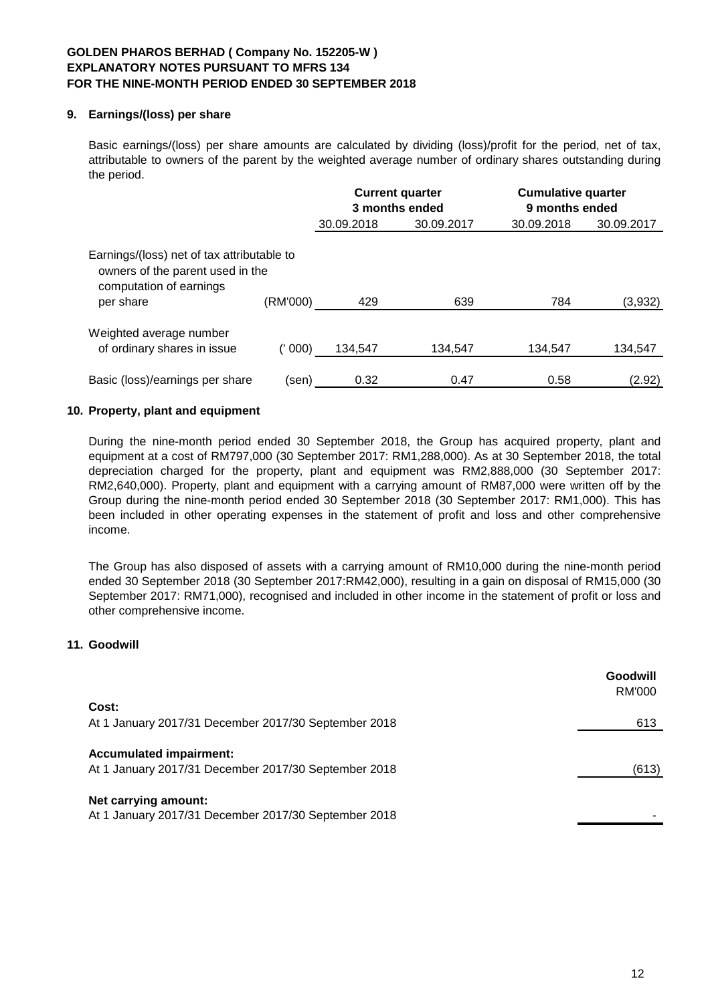### **9. Earnings/(loss) per share**

Basic earnings/(loss) per share amounts are calculated by dividing (loss)/profit for the period, net of tax, attributable to owners of the parent by the weighted average number of ordinary shares outstanding during the period.

|                                                                                                                        |          |            | <b>Current quarter</b> | <b>Cumulative quarter</b><br>9 months ended |            |  |
|------------------------------------------------------------------------------------------------------------------------|----------|------------|------------------------|---------------------------------------------|------------|--|
|                                                                                                                        |          |            | 3 months ended         |                                             |            |  |
|                                                                                                                        |          | 30.09.2018 | 30.09.2017             | 30.09.2018                                  | 30.09.2017 |  |
| Earnings/(loss) net of tax attributable to<br>owners of the parent used in the<br>computation of earnings<br>per share | (RM'000) | 429        | 639                    | 784                                         | (3,932)    |  |
| Weighted average number<br>of ordinary shares in issue                                                                 | 000)     | 134,547    | 134.547                | 134.547                                     | 134,547    |  |
| Basic (loss)/earnings per share                                                                                        | (sen)    | 0.32       | 0.47                   | 0.58                                        | (2.92)     |  |

# **10. Property, plant and equipment**

During the nine-month period ended 30 September 2018, the Group has acquired property, plant and equipment at a cost of RM797,000 (30 September 2017: RM1,288,000). As at 30 September 2018, the total depreciation charged for the property, plant and equipment was RM2,888,000 (30 September 2017: RM2,640,000). Property, plant and equipment with a carrying amount of RM87,000 were written off by the Group during the nine-month period ended 30 September 2018 (30 September 2017: RM1,000). This has been included in other operating expenses in the statement of profit and loss and other comprehensive income.

The Group has also disposed of assets with a carrying amount of RM10,000 during the nine-month period ended 30 September 2018 (30 September 2017:RM42,000), resulting in a gain on disposal of RM15,000 (30 September 2017: RM71,000), recognised and included in other income in the statement of profit or loss and other comprehensive income.

### **11. Goodwill**

|                                                                                        | Goodwill<br>RM'000 |
|----------------------------------------------------------------------------------------|--------------------|
| Cost:                                                                                  |                    |
| At 1 January 2017/31 December 2017/30 September 2018                                   | 613                |
| <b>Accumulated impairment:</b><br>At 1 January 2017/31 December 2017/30 September 2018 | (613)              |
| Net carrying amount:<br>At 1 January 2017/31 December 2017/30 September 2018           |                    |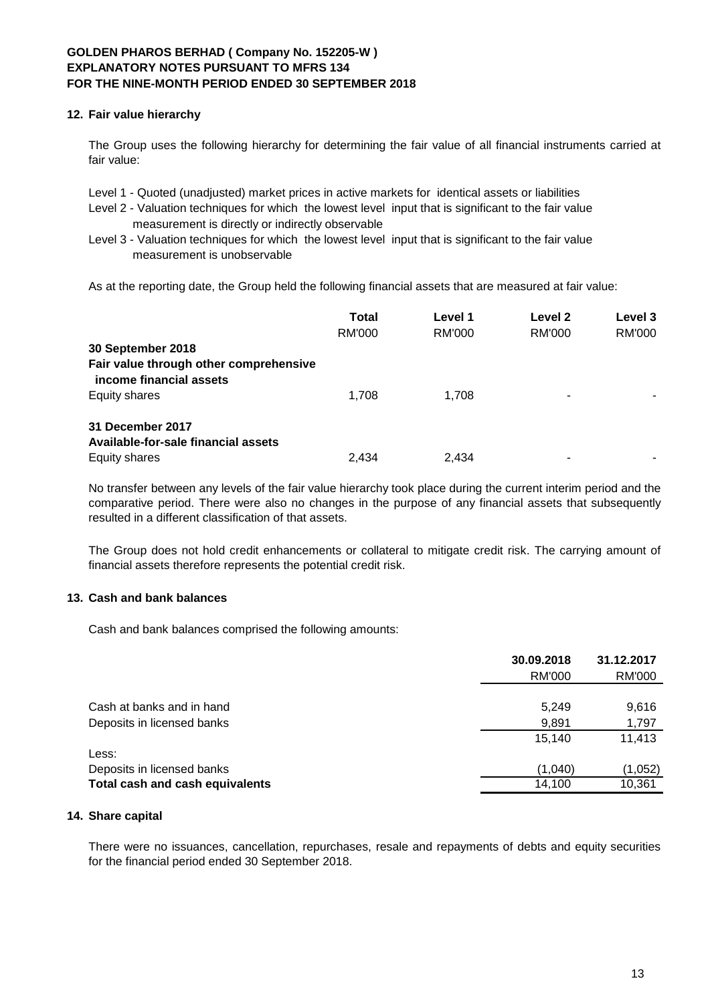### **12. Fair value hierarchy**

The Group uses the following hierarchy for determining the fair value of all financial instruments carried at fair value:

Level 1 - Quoted (unadjusted) market prices in active markets for identical assets or liabilities

- Level 2 Valuation techniques for which the lowest level input that is significant to the fair value measurement is directly or indirectly observable
- Level 3 Valuation techniques for which the lowest level input that is significant to the fair value measurement is unobservable

As at the reporting date, the Group held the following financial assets that are measured at fair value:

|                                                                   | Total<br>RM'000 | Level 1<br>RM'000 | Level 2<br><b>RM'000</b> | Level 3<br>RM'000 |
|-------------------------------------------------------------------|-----------------|-------------------|--------------------------|-------------------|
| 30 September 2018                                                 |                 |                   |                          |                   |
| Fair value through other comprehensive<br>income financial assets |                 |                   |                          |                   |
| Equity shares                                                     | 1.708           | 1.708             |                          |                   |
| 31 December 2017<br>Available-for-sale financial assets           |                 |                   |                          |                   |
| Equity shares                                                     | 2.434           | 2.434             |                          |                   |

No transfer between any levels of the fair value hierarchy took place during the current interim period and the comparative period. There were also no changes in the purpose of any financial assets that subsequently resulted in a different classification of that assets.

The Group does not hold credit enhancements or collateral to mitigate credit risk. The carrying amount of financial assets therefore represents the potential credit risk.

### **13. Cash and bank balances**

Cash and bank balances comprised the following amounts:

|                                        | 30.09.2018 | 31.12.2017 |  |
|----------------------------------------|------------|------------|--|
|                                        | RM'000     | RM'000     |  |
|                                        |            |            |  |
| Cash at banks and in hand              | 5,249      | 9,616      |  |
| Deposits in licensed banks             | 9,891      | 1,797      |  |
|                                        | 15.140     | 11,413     |  |
| Less:                                  |            |            |  |
| Deposits in licensed banks             | (1,040)    | (1,052)    |  |
| <b>Total cash and cash equivalents</b> | 14,100     | 10,361     |  |

### **14. Share capital**

There were no issuances, cancellation, repurchases, resale and repayments of debts and equity securities for the financial period ended 30 September 2018.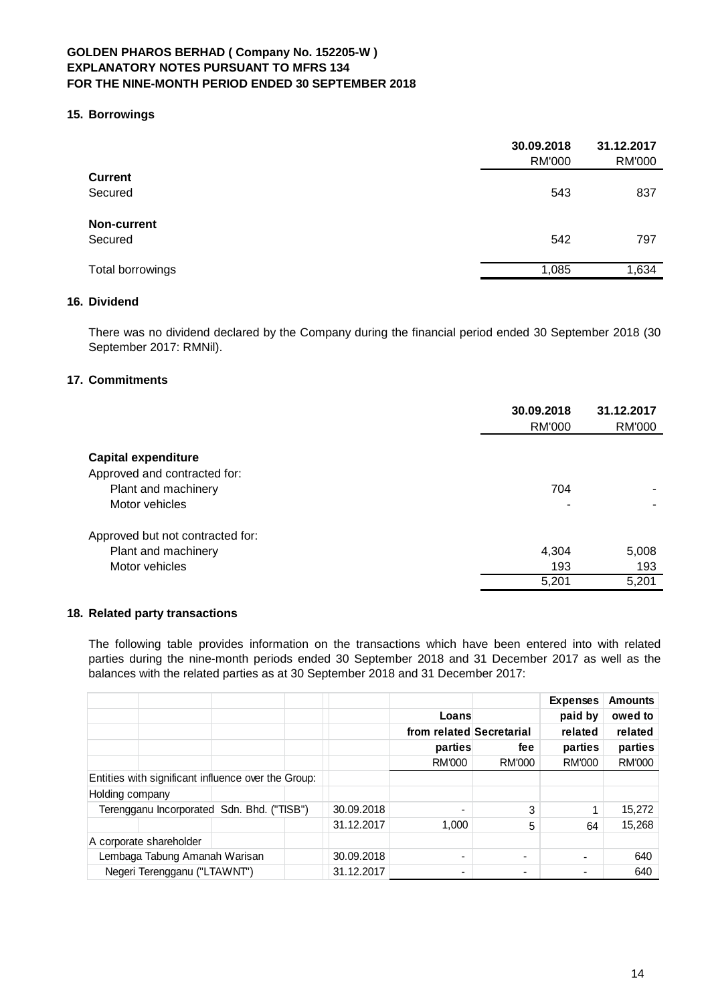#### **15. Borrowings**

|                    | 30.09.2018<br><b>RM'000</b> | 31.12.2017<br><b>RM'000</b> |
|--------------------|-----------------------------|-----------------------------|
| <b>Current</b>     |                             |                             |
| Secured            | 543                         | 837                         |
| <b>Non-current</b> |                             |                             |
| Secured            | 542                         | 797                         |
| Total borrowings   | 1,085                       | 1,634                       |

### **16. Dividend**

There was no dividend declared by the Company during the financial period ended 30 September 2018 (30 September 2017: RMNil).

### **17. Commitments**

|                                  | 30.09.2018<br>RM'000 | 31.12.2017<br><b>RM'000</b> |
|----------------------------------|----------------------|-----------------------------|
| <b>Capital expenditure</b>       |                      |                             |
| Approved and contracted for:     |                      |                             |
| Plant and machinery              | 704                  |                             |
| Motor vehicles                   | ۰                    |                             |
| Approved but not contracted for: |                      |                             |
| Plant and machinery              | 4,304                | 5,008                       |
| Motor vehicles                   | 193                  | 193                         |
|                                  | 5,201                | 5,201                       |

# **18. Related party transactions**

The following table provides information on the transactions which have been entered into with related parties during the nine-month periods ended 30 September 2018 and 31 December 2017 as well as the balances with the related parties as at 30 September 2018 and 31 December 2017:

|                                                     |            |                          |        | <b>Expenses</b> | <b>Amounts</b> |
|-----------------------------------------------------|------------|--------------------------|--------|-----------------|----------------|
|                                                     |            | Loans                    |        | paid by         | owed to        |
|                                                     |            | from related Secretarial |        | related         | related        |
|                                                     |            | parties                  | fee    | parties         | parties        |
|                                                     |            | <b>RM'000</b>            | RM'000 | RM'000          | RM'000         |
| Entities with significant influence over the Group: |            |                          |        |                 |                |
| Holding company                                     |            |                          |        |                 |                |
| Terengganu Incorporated Sdn. Bhd. ("TISB")          | 30.09.2018 |                          | 3      |                 | 15,272         |
|                                                     | 31.12.2017 | 1,000                    | 5      | 64              | 15,268         |
| A corporate shareholder                             |            |                          |        |                 |                |
| Lembaga Tabung Amanah Warisan                       | 30.09.2018 |                          |        |                 | 640            |
| Negeri Terengganu ("LTAWNT")                        | 31.12.2017 |                          |        |                 | 640            |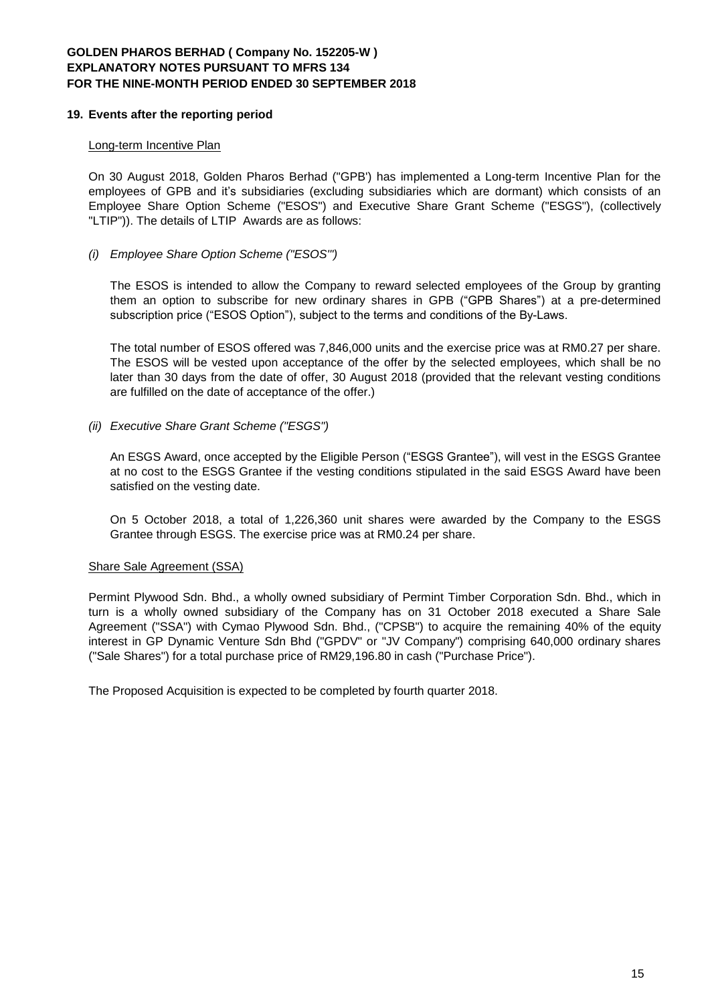#### **19. Events after the reporting period**

#### Long-term Incentive Plan

On 30 August 2018, Golden Pharos Berhad ("GPB') has implemented a Long-term Incentive Plan for the employees of GPB and it's subsidiaries (excluding subsidiaries which are dormant) which consists of an Employee Share Option Scheme ("ESOS") and Executive Share Grant Scheme ("ESGS"), (collectively "LTIP")). The details of LTIP Awards are as follows:

#### *(i) Employee Share Option Scheme ("ESOS'")*

The ESOS is intended to allow the Company to reward selected employees of the Group by granting them an option to subscribe for new ordinary shares in GPB ("GPB Shares") at a pre-determined subscription price ("ESOS Option"), subject to the terms and conditions of the By-Laws.

The total number of ESOS offered was 7,846,000 units and the exercise price was at RM0.27 per share. The ESOS will be vested upon acceptance of the offer by the selected employees, which shall be no later than 30 days from the date of offer, 30 August 2018 (provided that the relevant vesting conditions are fulfilled on the date of acceptance of the offer.)

*(ii) Executive Share Grant Scheme ("ESGS")*

An ESGS Award, once accepted by the Eligible Person ("ESGS Grantee"), will vest in the ESGS Grantee at no cost to the ESGS Grantee if the vesting conditions stipulated in the said ESGS Award have been satisfied on the vesting date.

On 5 October 2018, a total of 1,226,360 unit shares were awarded by the Company to the ESGS Grantee through ESGS. The exercise price was at RM0.24 per share.

### Share Sale Agreement (SSA)

Permint Plywood Sdn. Bhd., a wholly owned subsidiary of Permint Timber Corporation Sdn. Bhd., which in turn is a wholly owned subsidiary of the Company has on 31 October 2018 executed a Share Sale Agreement ("SSA") with Cymao Plywood Sdn. Bhd., ("CPSB") to acquire the remaining 40% of the equity interest in GP Dynamic Venture Sdn Bhd ("GPDV" or "JV Company") comprising 640,000 ordinary shares ("Sale Shares") for a total purchase price of RM29,196.80 in cash ("Purchase Price").

The Proposed Acquisition is expected to be completed by fourth quarter 2018.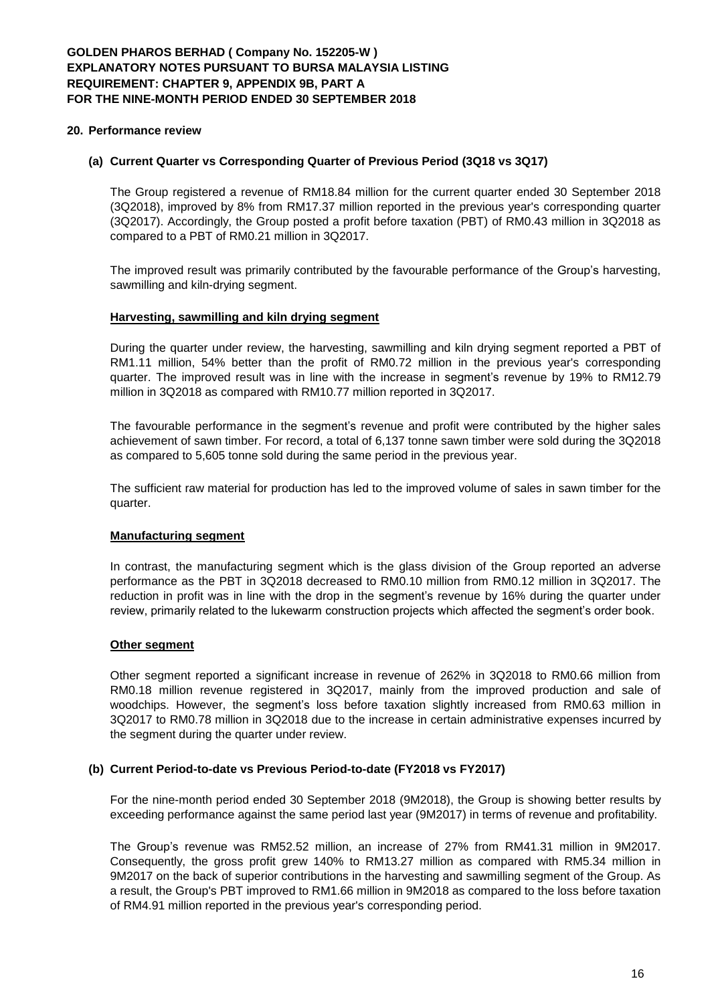#### **20. Performance review**

#### **(a) Current Quarter vs Corresponding Quarter of Previous Period (3Q18 vs 3Q17)**

The Group registered a revenue of RM18.84 million for the current quarter ended 30 September 2018 (3Q2018), improved by 8% from RM17.37 million reported in the previous year's corresponding quarter (3Q2017). Accordingly, the Group posted a profit before taxation (PBT) of RM0.43 million in 3Q2018 as compared to a PBT of RM0.21 million in 3Q2017.

The improved result was primarily contributed by the favourable performance of the Group's harvesting, sawmilling and kiln-drying segment.

#### **Harvesting, sawmilling and kiln drying segment**

During the quarter under review, the harvesting, sawmilling and kiln drying segment reported a PBT of RM1.11 million, 54% better than the profit of RM0.72 million in the previous year's corresponding quarter. The improved result was in line with the increase in segment's revenue by 19% to RM12.79 million in 3Q2018 as compared with RM10.77 million reported in 3Q2017.

The favourable performance in the segment's revenue and profit were contributed by the higher sales achievement of sawn timber. For record, a total of 6,137 tonne sawn timber were sold during the 3Q2018 as compared to 5,605 tonne sold during the same period in the previous year.

The sufficient raw material for production has led to the improved volume of sales in sawn timber for the quarter.

#### **Manufacturing segment**

In contrast, the manufacturing segment which is the glass division of the Group reported an adverse performance as the PBT in 3Q2018 decreased to RM0.10 million from RM0.12 million in 3Q2017. The reduction in profit was in line with the drop in the segment's revenue by 16% during the quarter under review, primarily related to the lukewarm construction projects which affected the segment's order book.

#### **Other segment**

Other segment reported a significant increase in revenue of 262% in 3Q2018 to RM0.66 million from RM0.18 million revenue registered in 3Q2017, mainly from the improved production and sale of woodchips. However, the segment's loss before taxation slightly increased from RM0.63 million in 3Q2017 to RM0.78 million in 3Q2018 due to the increase in certain administrative expenses incurred by the segment during the quarter under review.

#### **(b) Current Period-to-date vs Previous Period-to-date (FY2018 vs FY2017)**

For the nine-month period ended 30 September 2018 (9M2018), the Group is showing better results by exceeding performance against the same period last year (9M2017) in terms of revenue and profitability.

The Group's revenue was RM52.52 million, an increase of 27% from RM41.31 million in 9M2017. Consequently, the gross profit grew 140% to RM13.27 million as compared with RM5.34 million in 9M2017 on the back of superior contributions in the harvesting and sawmilling segment of the Group. As a result, the Group's PBT improved to RM1.66 million in 9M2018 as compared to the loss before taxation of RM4.91 million reported in the previous year's corresponding period.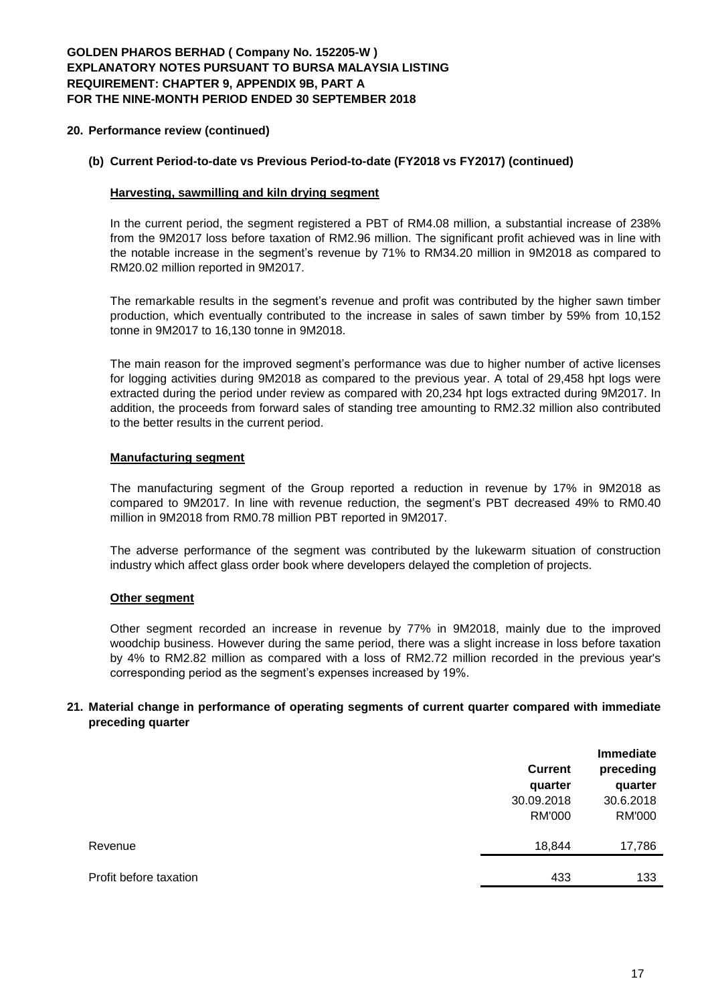### **20. Performance review (continued)**

### **(b) Current Period-to-date vs Previous Period-to-date (FY2018 vs FY2017) (continued)**

### **Harvesting, sawmilling and kiln drying segment**

In the current period, the segment registered a PBT of RM4.08 million, a substantial increase of 238% from the 9M2017 loss before taxation of RM2.96 million. The significant profit achieved was in line with the notable increase in the segment's revenue by 71% to RM34.20 million in 9M2018 as compared to RM20.02 million reported in 9M2017.

The remarkable results in the segment's revenue and profit was contributed by the higher sawn timber production, which eventually contributed to the increase in sales of sawn timber by 59% from 10,152 tonne in 9M2017 to 16,130 tonne in 9M2018.

The main reason for the improved segment's performance was due to higher number of active licenses for logging activities during 9M2018 as compared to the previous year. A total of 29,458 hpt logs were extracted during the period under review as compared with 20,234 hpt logs extracted during 9M2017. In addition, the proceeds from forward sales of standing tree amounting to RM2.32 million also contributed to the better results in the current period.

#### **Manufacturing segment**

The manufacturing segment of the Group reported a reduction in revenue by 17% in 9M2018 as compared to 9M2017. In line with revenue reduction, the segment's PBT decreased 49% to RM0.40 million in 9M2018 from RM0.78 million PBT reported in 9M2017.

The adverse performance of the segment was contributed by the lukewarm situation of construction industry which affect glass order book where developers delayed the completion of projects.

### **Other segment**

Other segment recorded an increase in revenue by 77% in 9M2018, mainly due to the improved woodchip business. However during the same period, there was a slight increase in loss before taxation by 4% to RM2.82 million as compared with a loss of RM2.72 million recorded in the previous year's corresponding period as the segment's expenses increased by 19%.

### **21. Material change in performance of operating segments of current quarter compared with immediate preceding quarter**

|                        |                | <b>Immediate</b> |
|------------------------|----------------|------------------|
|                        | <b>Current</b> | preceding        |
|                        | quarter        | quarter          |
|                        | 30.09.2018     | 30.6.2018        |
|                        | <b>RM'000</b>  | <b>RM'000</b>    |
| Revenue                | 18,844         | 17,786           |
| Profit before taxation | 433            | 133              |
|                        |                |                  |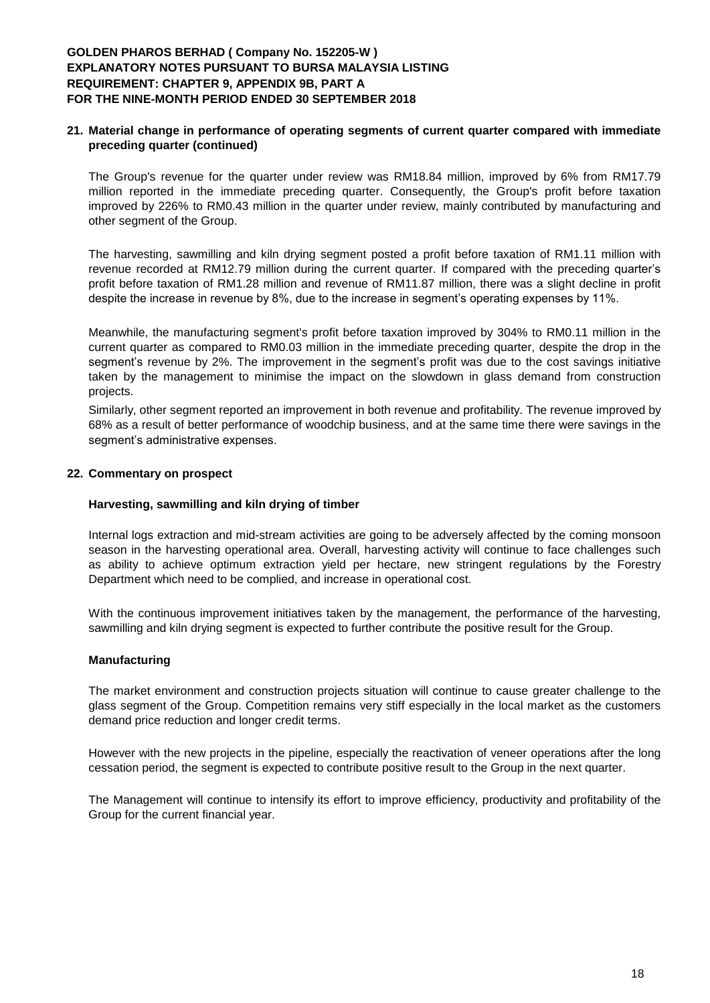### **21. Material change in performance of operating segments of current quarter compared with immediate preceding quarter (continued)**

The Group's revenue for the quarter under review was RM18.84 million, improved by 6% from RM17.79 million reported in the immediate preceding quarter. Consequently, the Group's profit before taxation improved by 226% to RM0.43 million in the quarter under review, mainly contributed by manufacturing and other segment of the Group.

The harvesting, sawmilling and kiln drying segment posted a profit before taxation of RM1.11 million with revenue recorded at RM12.79 million during the current quarter. If compared with the preceding quarter's profit before taxation of RM1.28 million and revenue of RM11.87 million, there was a slight decline in profit despite the increase in revenue by 8%, due to the increase in segment's operating expenses by 11%.

Meanwhile, the manufacturing segment's profit before taxation improved by 304% to RM0.11 million in the current quarter as compared to RM0.03 million in the immediate preceding quarter, despite the drop in the segment's revenue by 2%. The improvement in the segment's profit was due to the cost savings initiative taken by the management to minimise the impact on the slowdown in glass demand from construction projects.

Similarly, other segment reported an improvement in both revenue and profitability. The revenue improved by 68% as a result of better performance of woodchip business, and at the same time there were savings in the segment's administrative expenses.

### **22. Commentary on prospect**

### **Harvesting, sawmilling and kiln drying of timber**

Internal logs extraction and mid-stream activities are going to be adversely affected by the coming monsoon season in the harvesting operational area. Overall, harvesting activity will continue to face challenges such as ability to achieve optimum extraction yield per hectare, new stringent regulations by the Forestry Department which need to be complied, and increase in operational cost.

With the continuous improvement initiatives taken by the management, the performance of the harvesting, sawmilling and kiln drying segment is expected to further contribute the positive result for the Group.

### **Manufacturing**

The market environment and construction projects situation will continue to cause greater challenge to the glass segment of the Group. Competition remains very stiff especially in the local market as the customers demand price reduction and longer credit terms.

However with the new projects in the pipeline, especially the reactivation of veneer operations after the long cessation period, the segment is expected to contribute positive result to the Group in the next quarter.

The Management will continue to intensify its effort to improve efficiency, productivity and profitability of the Group for the current financial year.